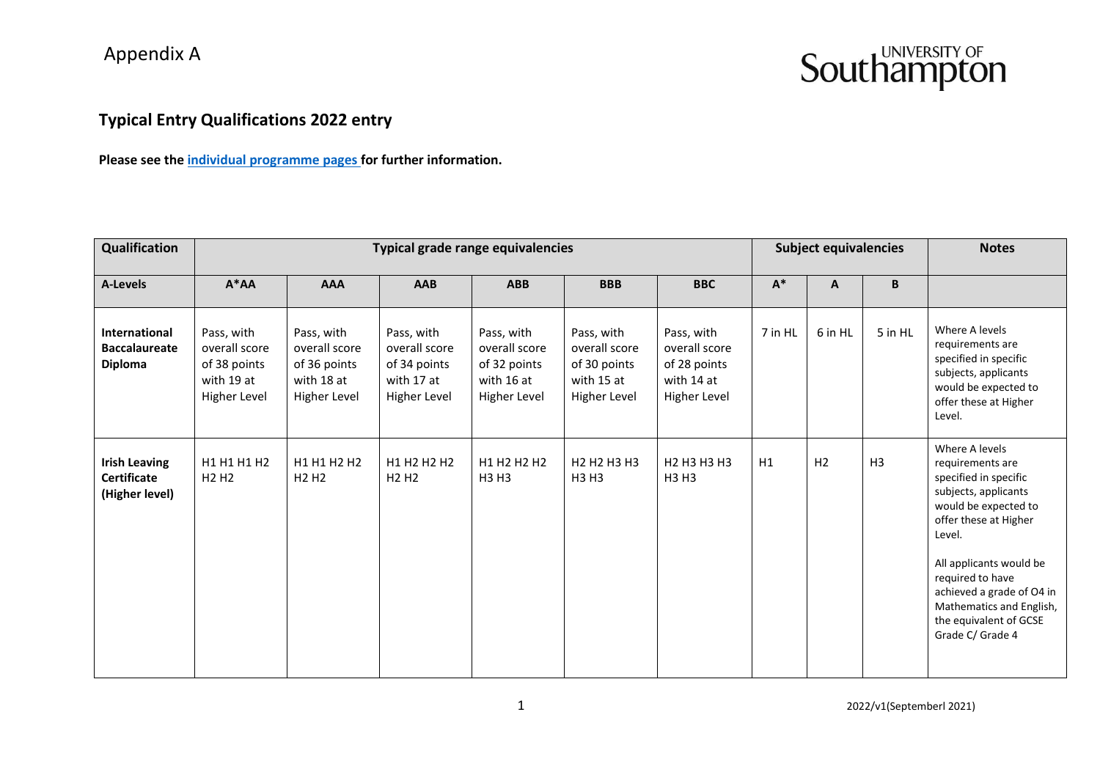#### **Typical Entry Qualifications 2022 entry**

**Please see the [individual programme pages f](https://www.southampton.ac.uk/courses/undergraduate.page)or further information.**

| Qualification                                                  | Typical grade range equivalencies                                         |                                                                           |                                                                           |                                                                           |                                                                             |                                                                             |         | <b>Subject equivalencies</b> | <b>Notes</b> |                                                                                                                                                                                                                                                                                                      |
|----------------------------------------------------------------|---------------------------------------------------------------------------|---------------------------------------------------------------------------|---------------------------------------------------------------------------|---------------------------------------------------------------------------|-----------------------------------------------------------------------------|-----------------------------------------------------------------------------|---------|------------------------------|--------------|------------------------------------------------------------------------------------------------------------------------------------------------------------------------------------------------------------------------------------------------------------------------------------------------------|
| A-Levels                                                       | $A^*AA$                                                                   | <b>AAA</b>                                                                | <b>AAB</b>                                                                | <b>ABB</b>                                                                | <b>BBB</b>                                                                  | <b>BBC</b>                                                                  | $A^*$   | A                            | B            |                                                                                                                                                                                                                                                                                                      |
| <b>International</b><br><b>Baccalaureate</b><br><b>Diploma</b> | Pass, with<br>overall score<br>of 38 points<br>with 19 at<br>Higher Level | Pass, with<br>overall score<br>of 36 points<br>with 18 at<br>Higher Level | Pass, with<br>overall score<br>of 34 points<br>with 17 at<br>Higher Level | Pass, with<br>overall score<br>of 32 points<br>with 16 at<br>Higher Level | Pass, with<br>overall score<br>of 30 points<br>with 15 at<br>Higher Level   | Pass, with<br>overall score<br>of 28 points<br>with 14 at<br>Higher Level   | 7 in HL | 6 in HL                      | 5 in HL      | Where A levels<br>requirements are<br>specified in specific<br>subjects, applicants<br>would be expected to<br>offer these at Higher<br>Level.                                                                                                                                                       |
| <b>Irish Leaving</b><br><b>Certificate</b><br>(Higher level)   | H1 H1 H1 H2<br>H <sub>2</sub> H <sub>2</sub>                              | H1 H1 H2 H2<br>H <sub>2</sub> H <sub>2</sub>                              | H1 H2 H2 H2<br>H <sub>2</sub> H <sub>2</sub>                              | H1 H2 H2 H2<br><b>H3 H3</b>                                               | H <sub>2</sub> H <sub>2</sub> H <sub>3</sub> H <sub>3</sub><br><b>H3 H3</b> | H <sub>2</sub> H <sub>3</sub> H <sub>3</sub> H <sub>3</sub><br><b>H3 H3</b> | H1      | H <sub>2</sub>               | H3           | Where A levels<br>requirements are<br>specified in specific<br>subjects, applicants<br>would be expected to<br>offer these at Higher<br>Level.<br>All applicants would be<br>required to have<br>achieved a grade of O4 in<br>Mathematics and English,<br>the equivalent of GCSE<br>Grade C/ Grade 4 |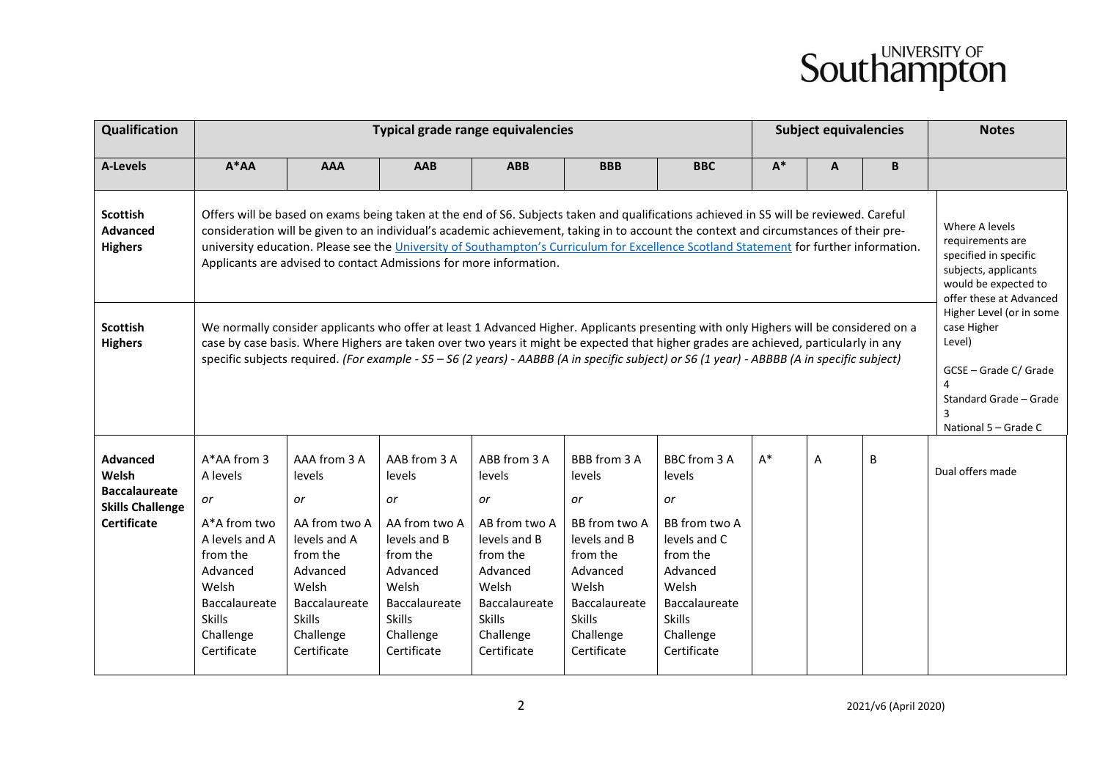| Qualification                                                                                     |                                                                                                                                                                                                                                                                                                                                                                                                                                                                                                                                  |                                                                                                                                                                    | <b>Typical grade range equivalencies</b>                                                                                                                     | <b>Subject equivalencies</b>                                                                                                                                 |                                                                                                                                                              |                                                                                                                                                                     | <b>Notes</b> |   |   |                  |  |
|---------------------------------------------------------------------------------------------------|----------------------------------------------------------------------------------------------------------------------------------------------------------------------------------------------------------------------------------------------------------------------------------------------------------------------------------------------------------------------------------------------------------------------------------------------------------------------------------------------------------------------------------|--------------------------------------------------------------------------------------------------------------------------------------------------------------------|--------------------------------------------------------------------------------------------------------------------------------------------------------------|--------------------------------------------------------------------------------------------------------------------------------------------------------------|--------------------------------------------------------------------------------------------------------------------------------------------------------------|---------------------------------------------------------------------------------------------------------------------------------------------------------------------|--------------|---|---|------------------|--|
| <b>A-Levels</b>                                                                                   | $A^*AA$                                                                                                                                                                                                                                                                                                                                                                                                                                                                                                                          | <b>AAA</b>                                                                                                                                                         | AAB                                                                                                                                                          | <b>ABB</b>                                                                                                                                                   | <b>BBB</b>                                                                                                                                                   | <b>BBC</b>                                                                                                                                                          | $A^*$        | A | B |                  |  |
| <b>Scottish</b><br><b>Advanced</b><br><b>Highers</b>                                              | Offers will be based on exams being taken at the end of S6. Subjects taken and qualifications achieved in S5 will be reviewed. Careful<br>consideration will be given to an individual's academic achievement, taking in to account the context and circumstances of their pre-<br>university education. Please see the University of Southampton's Curriculum for Excellence Scotland Statement for further information.<br>Applicants are advised to contact Admissions for more information.                                  | Where A levels<br>requirements are<br>specified in specific<br>subjects, applicants<br>would be expected to<br>offer these at Advanced<br>Higher Level (or in some |                                                                                                                                                              |                                                                                                                                                              |                                                                                                                                                              |                                                                                                                                                                     |              |   |   |                  |  |
| <b>Scottish</b><br><b>Highers</b>                                                                 | We normally consider applicants who offer at least 1 Advanced Higher. Applicants presenting with only Highers will be considered on a<br>case Higher<br>Level)<br>case by case basis. Where Highers are taken over two years it might be expected that higher grades are achieved, particularly in any<br>specific subjects required. (For example - S5 - S6 (2 years) - AABBB (A in specific subject) or S6 (1 year) - ABBBB (A in specific subject)<br>GCSE - Grade C/ Grade<br>Standard Grade - Grade<br>National 5 - Grade C |                                                                                                                                                                    |                                                                                                                                                              |                                                                                                                                                              |                                                                                                                                                              |                                                                                                                                                                     |              |   |   |                  |  |
| <b>Advanced</b><br>Welsh<br><b>Baccalaureate</b><br><b>Skills Challenge</b><br><b>Certificate</b> | A*AA from 3<br>A levels<br>or<br>A*A from two<br>A levels and A<br>from the<br>Advanced<br>Welsh<br>Baccalaureate<br><b>Skills</b><br>Challenge<br>Certificate                                                                                                                                                                                                                                                                                                                                                                   | AAA from 3 A<br>levels<br>or<br>AA from two A<br>levels and A<br>from the<br>Advanced<br>Welsh<br>Baccalaureate<br><b>Skills</b><br>Challenge<br>Certificate       | AAB from 3 A<br>levels<br>or<br>AA from two A<br>levels and B<br>from the<br>Advanced<br>Welsh<br>Baccalaureate<br><b>Skills</b><br>Challenge<br>Certificate | ABB from 3 A<br>levels<br>or<br>AB from two A<br>levels and B<br>from the<br>Advanced<br>Welsh<br>Baccalaureate<br><b>Skills</b><br>Challenge<br>Certificate | BBB from 3 A<br>levels<br>or<br>BB from two A<br>levels and B<br>from the<br>Advanced<br>Welsh<br>Baccalaureate<br><b>Skills</b><br>Challenge<br>Certificate | BBC from 3 A<br>levels<br>or<br>BB from two A<br>levels and C<br>from the<br>Advanced<br>Welsh<br><b>Baccalaureate</b><br><b>Skills</b><br>Challenge<br>Certificate | $A^*$        | A | B | Dual offers made |  |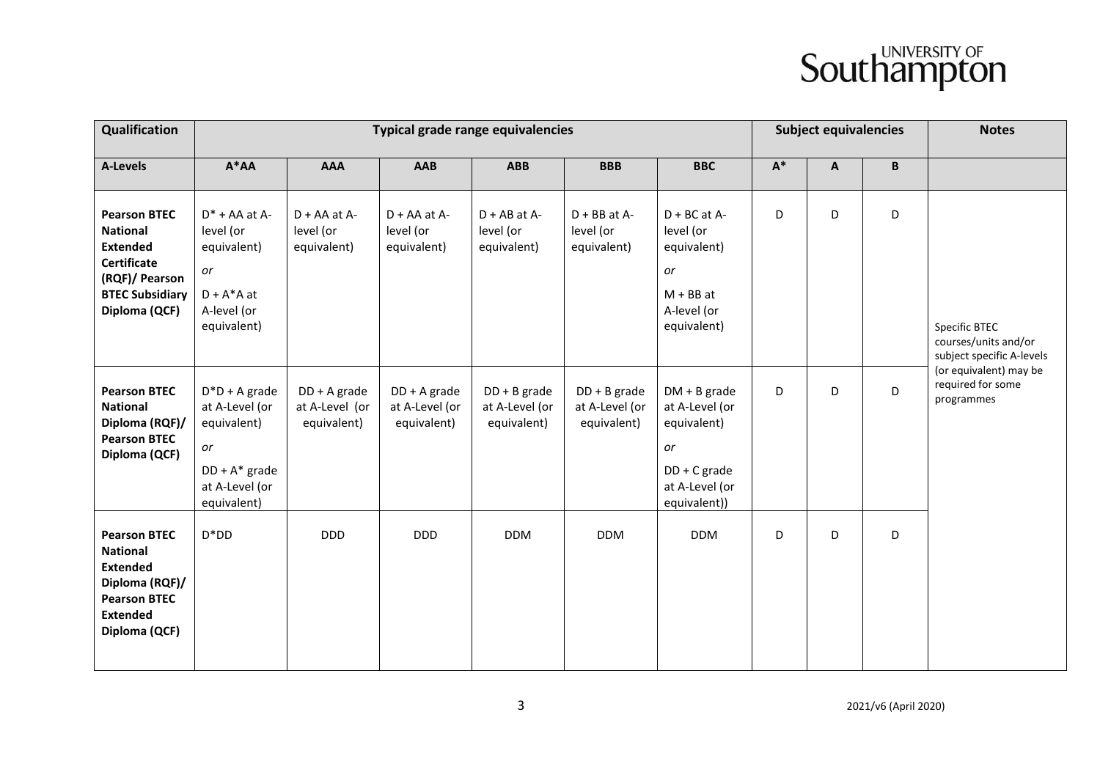| Qualification                                                                                                                                |                                                                                                              |                                                 | Typical grade range equivalencies               |                                                 | <b>Subject equivalencies</b>                    |                                                                                                           | <b>Notes</b>   |   |                 |                                                                    |
|----------------------------------------------------------------------------------------------------------------------------------------------|--------------------------------------------------------------------------------------------------------------|-------------------------------------------------|-------------------------------------------------|-------------------------------------------------|-------------------------------------------------|-----------------------------------------------------------------------------------------------------------|----------------|---|-----------------|--------------------------------------------------------------------|
| A-Levels                                                                                                                                     | $A^*AA$                                                                                                      | <b>AAA</b>                                      | <b>AAB</b>                                      | <b>ABB</b>                                      | <b>BBB</b>                                      | <b>BBC</b>                                                                                                | $\mathsf{A}^*$ | A | $\, {\bf B} \,$ |                                                                    |
| <b>Pearson BTEC</b><br><b>National</b><br><b>Extended</b><br><b>Certificate</b><br>(RQF)/ Pearson<br><b>BTEC Subsidiary</b><br>Diploma (QCF) | $D^*$ + AA at A-<br>level (or<br>equivalent)<br>or<br>$D + A^*A$ at<br>A-level (or<br>equivalent)            | $D + AA$ at $A$ -<br>level (or<br>equivalent)   | $D + AA$ at $A$ -<br>level (or<br>equivalent)   | $D + AB$ at A-<br>level (or<br>equivalent)      | $D + BB$ at A-<br>level (or<br>equivalent)      | $D + BC$ at A-<br>level (or<br>equivalent)<br>or<br>$M + BB$ at<br>A-level (or<br>equivalent)             | D              | D | D               | Specific BTEC<br>courses/units and/or<br>subject specific A-levels |
| <b>Pearson BTEC</b><br><b>National</b><br>Diploma (RQF)/<br><b>Pearson BTEC</b><br>Diploma (QCF)                                             | $D^*D + A$ grade<br>at A-Level (or<br>equivalent)<br>or<br>$DD + A^*$ grade<br>at A-Level (or<br>equivalent) | $DD + A$ grade<br>at A-Level (or<br>equivalent) | $DD + A$ grade<br>at A-Level (or<br>equivalent) | $DD + B$ grade<br>at A-Level (or<br>equivalent) | $DD + B$ grade<br>at A-Level (or<br>equivalent) | $DM + B$ grade<br>at A-Level (or<br>equivalent)<br>or<br>$DD + C$ grade<br>at A-Level (or<br>equivalent)) | D              | D | D               | (or equivalent) may be<br>required for some<br>programmes          |
| <b>Pearson BTEC</b><br><b>National</b><br><b>Extended</b><br>Diploma (RQF)/<br><b>Pearson BTEC</b><br><b>Extended</b><br>Diploma (QCF)       | $D^*DD$                                                                                                      | <b>DDD</b>                                      | <b>DDD</b>                                      | <b>DDM</b>                                      | <b>DDM</b>                                      | <b>DDM</b>                                                                                                | D              | D | D               |                                                                    |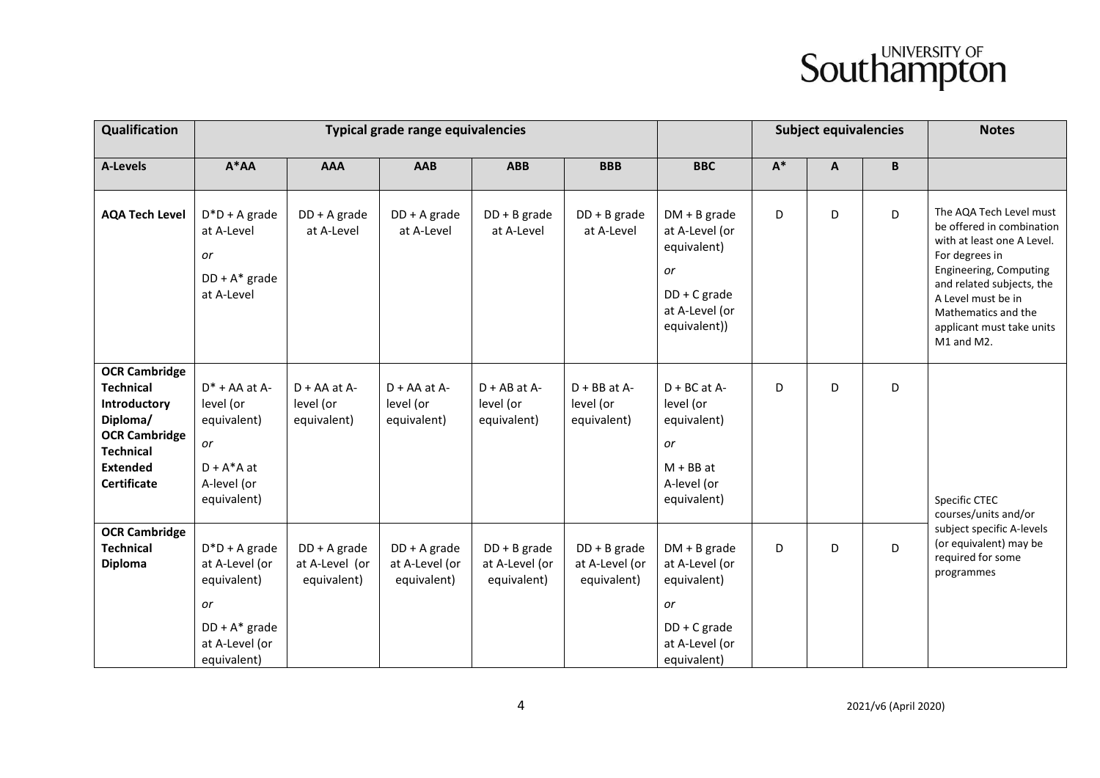| Qualification                                                                                                                                             |                                                                                                              |                                                 | Typical grade range equivalencies               |                                                 |                                                 | <b>Subject equivalencies</b>                                                                             |       | <b>Notes</b> |   |                                                                                                                                                                                                                                                     |
|-----------------------------------------------------------------------------------------------------------------------------------------------------------|--------------------------------------------------------------------------------------------------------------|-------------------------------------------------|-------------------------------------------------|-------------------------------------------------|-------------------------------------------------|----------------------------------------------------------------------------------------------------------|-------|--------------|---|-----------------------------------------------------------------------------------------------------------------------------------------------------------------------------------------------------------------------------------------------------|
| <b>A-Levels</b>                                                                                                                                           | $A^*AA$                                                                                                      | <b>AAA</b>                                      | AAB                                             | <b>ABB</b>                                      | <b>BBB</b>                                      | <b>BBC</b>                                                                                               | $A^*$ | A            | B |                                                                                                                                                                                                                                                     |
| <b>AQA Tech Level</b>                                                                                                                                     | $D^*D + A$ grade<br>at A-Level<br>or<br>$DD + A^*$ grade<br>at A-Level                                       | $DD + A$ grade<br>at A-Level                    | $DD + A$ grade<br>at A-Level                    | $DD + B$ grade<br>at A-Level                    | $DD + B$ grade<br>at A-Level                    | $DM + B$ grade<br>at A-Level (or<br>equivalent)<br>or<br>DD + C grade<br>at A-Level (or<br>equivalent))  | D     | D            | D | The AQA Tech Level must<br>be offered in combination<br>with at least one A Level.<br>For degrees in<br>Engineering, Computing<br>and related subjects, the<br>A Level must be in<br>Mathematics and the<br>applicant must take units<br>M1 and M2. |
| <b>OCR Cambridge</b><br><b>Technical</b><br>Introductory<br>Diploma/<br><b>OCR Cambridge</b><br><b>Technical</b><br><b>Extended</b><br><b>Certificate</b> | $D^*$ + AA at A-<br>level (or<br>equivalent)<br>or<br>$D + A^*A$ at<br>A-level (or<br>equivalent)            | $D + AA$ at $A$ -<br>level (or<br>equivalent)   | $D + AA$ at $A$ -<br>level (or<br>equivalent)   | $D + AB$ at A-<br>level (or<br>equivalent)      | $D + BB$ at A-<br>level (or<br>equivalent)      | $D + BC$ at A-<br>level (or<br>equivalent)<br>or<br>$M + BB$ at<br>A-level (or<br>equivalent)            | D     | D            | D | Specific CTEC<br>courses/units and/or                                                                                                                                                                                                               |
| <b>OCR Cambridge</b><br><b>Technical</b><br><b>Diploma</b>                                                                                                | $D^*D + A$ grade<br>at A-Level (or<br>equivalent)<br>or<br>$DD + A^*$ grade<br>at A-Level (or<br>equivalent) | $DD + A$ grade<br>at A-Level (or<br>equivalent) | $DD + A$ grade<br>at A-Level (or<br>equivalent) | $DD + B$ grade<br>at A-Level (or<br>equivalent) | $DD + B$ grade<br>at A-Level (or<br>equivalent) | $DM + B$ grade<br>at A-Level (or<br>equivalent)<br>or<br>$DD + C$ grade<br>at A-Level (or<br>equivalent) | D     | D            | D | subject specific A-levels<br>(or equivalent) may be<br>required for some<br>programmes                                                                                                                                                              |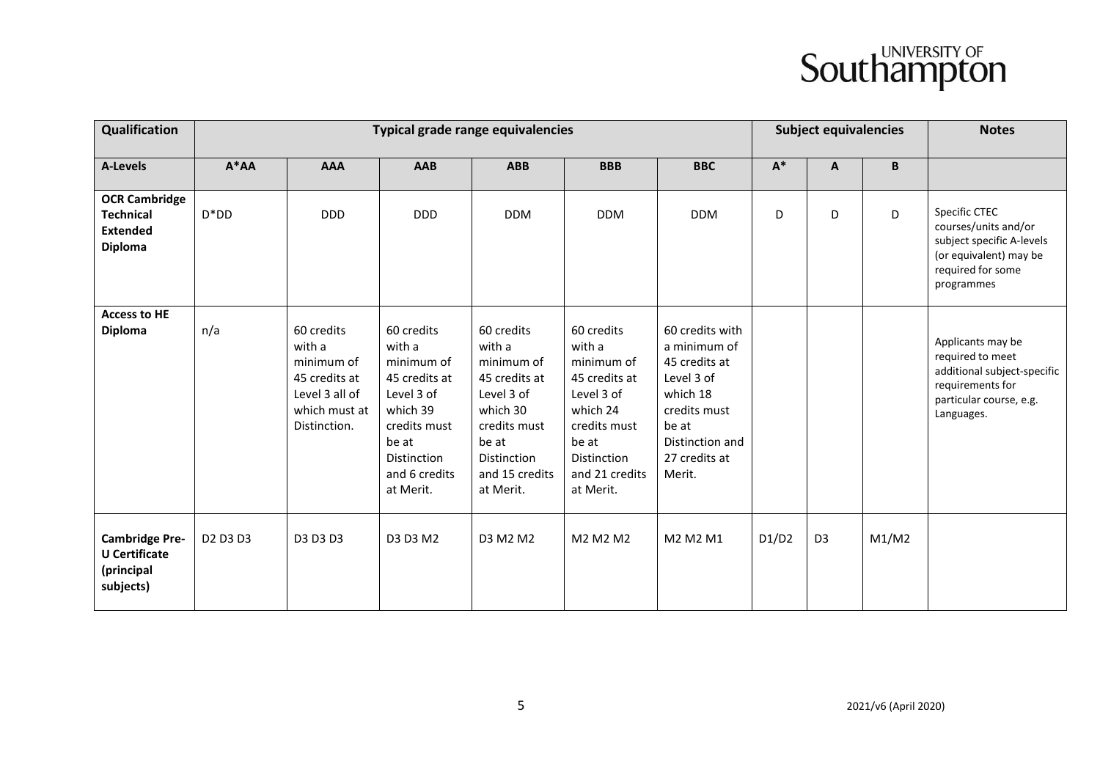| Qualification                                                                 |                                              |                                                                                                        | Typical grade range equivalencies                                                                                                                          | <b>Subject equivalencies</b>                                                                                                                                |                                                                                                                                                      |                                                                                                                                                   | <b>Notes</b>   |                |       |                                                                                                                                   |
|-------------------------------------------------------------------------------|----------------------------------------------|--------------------------------------------------------------------------------------------------------|------------------------------------------------------------------------------------------------------------------------------------------------------------|-------------------------------------------------------------------------------------------------------------------------------------------------------------|------------------------------------------------------------------------------------------------------------------------------------------------------|---------------------------------------------------------------------------------------------------------------------------------------------------|----------------|----------------|-------|-----------------------------------------------------------------------------------------------------------------------------------|
| <b>A-Levels</b>                                                               | $A^*AA$                                      | <b>AAA</b>                                                                                             | <b>AAB</b>                                                                                                                                                 | <b>ABB</b>                                                                                                                                                  | <b>BBB</b>                                                                                                                                           | <b>BBC</b>                                                                                                                                        | $\mathsf{A}^*$ | A              | B     |                                                                                                                                   |
| <b>OCR Cambridge</b><br><b>Technical</b><br><b>Extended</b><br><b>Diploma</b> | $D^*DD$                                      | <b>DDD</b>                                                                                             | <b>DDD</b>                                                                                                                                                 | <b>DDM</b>                                                                                                                                                  | <b>DDM</b>                                                                                                                                           | <b>DDM</b>                                                                                                                                        | D              | D              | D     | Specific CTEC<br>courses/units and/or<br>subject specific A-levels<br>(or equivalent) may be<br>required for some<br>programmes   |
| <b>Access to HE</b><br><b>Diploma</b>                                         | n/a                                          | 60 credits<br>with a<br>minimum of<br>45 credits at<br>Level 3 all of<br>which must at<br>Distinction. | 60 credits<br>with a<br>minimum of<br>45 credits at<br>Level 3 of<br>which 39<br>credits must<br>be at<br><b>Distinction</b><br>and 6 credits<br>at Merit. | 60 credits<br>with a<br>minimum of<br>45 credits at<br>Level 3 of<br>which 30<br>credits must<br>be at<br><b>Distinction</b><br>and 15 credits<br>at Merit. | 60 credits<br>with a<br>minimum of<br>45 credits at<br>Level 3 of<br>which 24<br>credits must<br>be at<br>Distinction<br>and 21 credits<br>at Merit. | 60 credits with<br>a minimum of<br>45 credits at<br>Level 3 of<br>which 18<br>credits must<br>be at<br>Distinction and<br>27 credits at<br>Merit. |                |                |       | Applicants may be<br>required to meet<br>additional subject-specific<br>requirements for<br>particular course, e.g.<br>Languages. |
| <b>Cambridge Pre-</b><br><b>U</b> Certificate<br>(principal<br>subjects)      | D <sub>2</sub> D <sub>3</sub> D <sub>3</sub> | D3 D3 D3                                                                                               | D3 D3 M2                                                                                                                                                   | D3 M2 M2                                                                                                                                                    | M2 M2 M2                                                                                                                                             | M2 M2 M1                                                                                                                                          | D1/D2          | D <sub>3</sub> | M1/M2 |                                                                                                                                   |